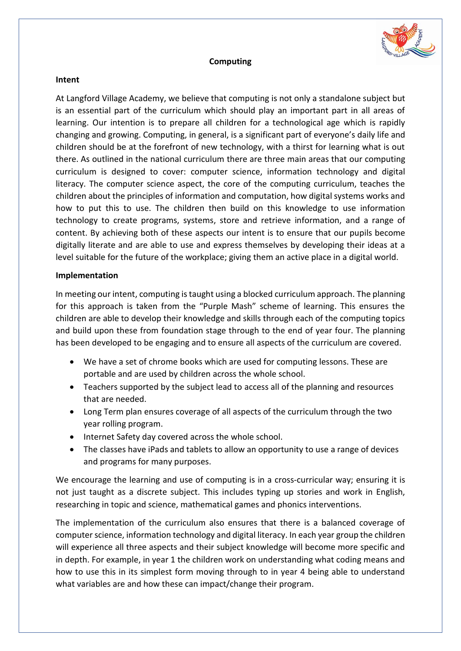

## **Computing**

## **Intent**

At Langford Village Academy, we believe that computing is not only a standalone subject but is an essential part of the curriculum which should play an important part in all areas of learning. Our intention is to prepare all children for a technological age which is rapidly changing and growing. Computing, in general, is a significant part of everyone's daily life and children should be at the forefront of new technology, with a thirst for learning what is out there. As outlined in the national curriculum there are three main areas that our computing curriculum is designed to cover: computer science, information technology and digital literacy. The computer science aspect, the core of the computing curriculum, teaches the children about the principles of information and computation, how digital systems works and how to put this to use. The children then build on this knowledge to use information technology to create programs, systems, store and retrieve information, and a range of content. By achieving both of these aspects our intent is to ensure that our pupils become digitally literate and are able to use and express themselves by developing their ideas at a level suitable for the future of the workplace; giving them an active place in a digital world.

## **Implementation**

In meeting our intent, computing is taught using a blocked curriculum approach. The planning for this approach is taken from the "Purple Mash" scheme of learning. This ensures the children are able to develop their knowledge and skills through each of the computing topics and build upon these from foundation stage through to the end of year four. The planning has been developed to be engaging and to ensure all aspects of the curriculum are covered.

- We have a set of chrome books which are used for computing lessons. These are portable and are used by children across the whole school.
- Teachers supported by the subject lead to access all of the planning and resources that are needed.
- Long Term plan ensures coverage of all aspects of the curriculum through the two year rolling program.
- Internet Safety day covered across the whole school.
- The classes have iPads and tablets to allow an opportunity to use a range of devices and programs for many purposes.

We encourage the learning and use of computing is in a cross-curricular way; ensuring it is not just taught as a discrete subject. This includes typing up stories and work in English, researching in topic and science, mathematical games and phonics interventions.

The implementation of the curriculum also ensures that there is a balanced coverage of computer science, information technology and digital literacy. In each year group the children will experience all three aspects and their subject knowledge will become more specific and in depth. For example, in year 1 the children work on understanding what coding means and how to use this in its simplest form moving through to in year 4 being able to understand what variables are and how these can impact/change their program.